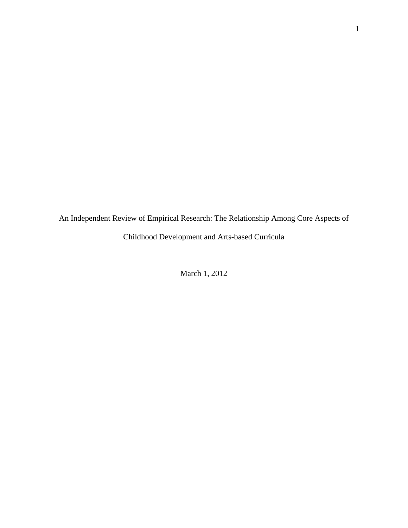An Independent Review of Empirical Research: The Relationship Among Core Aspects of Childhood Development and Arts-based Curricula

March 1, 2012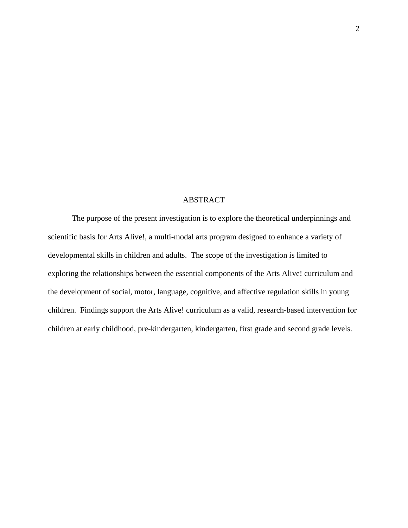# ABSTRACT

The purpose of the present investigation is to explore the theoretical underpinnings and scientific basis for Arts Alive!, a multi-modal arts program designed to enhance a variety of developmental skills in children and adults. The scope of the investigation is limited to exploring the relationships between the essential components of the Arts Alive! curriculum and the development of social, motor, language, cognitive, and affective regulation skills in young children. Findings support the Arts Alive! curriculum as a valid, research-based intervention for children at early childhood, pre-kindergarten, kindergarten, first grade and second grade levels.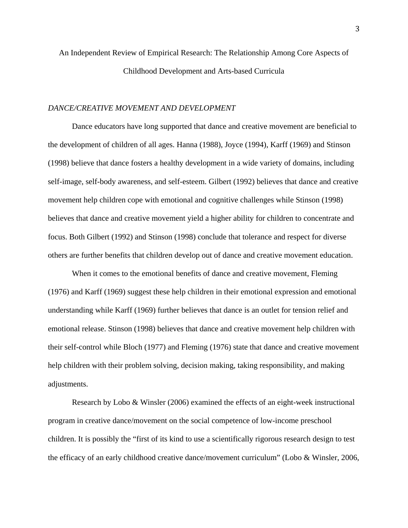# An Independent Review of Empirical Research: The Relationship Among Core Aspects of Childhood Development and Arts-based Curricula

# *DANCE/CREATIVE MOVEMENT AND DEVELOPMENT*

 Dance educators have long supported that dance and creative movement are beneficial to the development of children of all ages. Hanna (1988), Joyce (1994), Karff (1969) and Stinson (1998) believe that dance fosters a healthy development in a wide variety of domains, including self-image, self-body awareness, and self-esteem. Gilbert (1992) believes that dance and creative movement help children cope with emotional and cognitive challenges while Stinson (1998) believes that dance and creative movement yield a higher ability for children to concentrate and focus. Both Gilbert (1992) and Stinson (1998) conclude that tolerance and respect for diverse others are further benefits that children develop out of dance and creative movement education.

When it comes to the emotional benefits of dance and creative movement, Fleming (1976) and Karff (1969) suggest these help children in their emotional expression and emotional understanding while Karff (1969) further believes that dance is an outlet for tension relief and emotional release. Stinson (1998) believes that dance and creative movement help children with their self-control while Bloch (1977) and Fleming (1976) state that dance and creative movement help children with their problem solving, decision making, taking responsibility, and making adjustments.

Research by Lobo & Winsler (2006) examined the effects of an eight-week instructional program in creative dance/movement on the social competence of low-income preschool children. It is possibly the "first of its kind to use a scientifically rigorous research design to test the efficacy of an early childhood creative dance/movement curriculum" (Lobo & Winsler, 2006,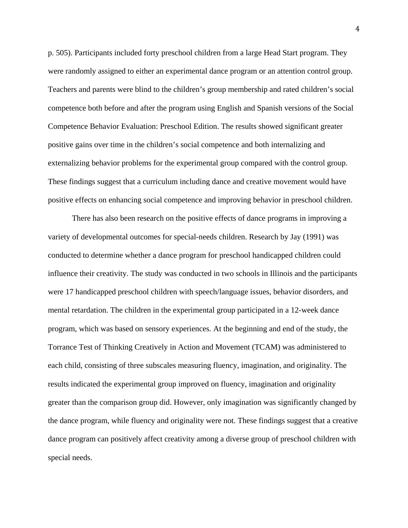p. 505). Participants included forty preschool children from a large Head Start program. They were randomly assigned to either an experimental dance program or an attention control group. Teachers and parents were blind to the children's group membership and rated children's social competence both before and after the program using English and Spanish versions of the Social Competence Behavior Evaluation: Preschool Edition. The results showed significant greater positive gains over time in the children's social competence and both internalizing and externalizing behavior problems for the experimental group compared with the control group. These findings suggest that a curriculum including dance and creative movement would have positive effects on enhancing social competence and improving behavior in preschool children.

There has also been research on the positive effects of dance programs in improving a variety of developmental outcomes for special-needs children. Research by Jay (1991) was conducted to determine whether a dance program for preschool handicapped children could influence their creativity. The study was conducted in two schools in Illinois and the participants were 17 handicapped preschool children with speech/language issues, behavior disorders, and mental retardation. The children in the experimental group participated in a 12-week dance program, which was based on sensory experiences. At the beginning and end of the study, the Torrance Test of Thinking Creatively in Action and Movement (TCAM) was administered to each child, consisting of three subscales measuring fluency, imagination, and originality. The results indicated the experimental group improved on fluency, imagination and originality greater than the comparison group did. However, only imagination was significantly changed by the dance program, while fluency and originality were not. These findings suggest that a creative dance program can positively affect creativity among a diverse group of preschool children with special needs.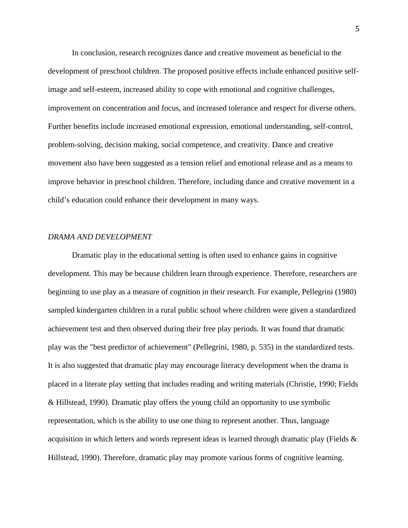In conclusion, research recognizes dance and creative movement as beneficial to the development of preschool children. The proposed positive effects include enhanced positive selfimage and self-esteem, increased ability to cope with emotional and cognitive challenges, improvement on concentration and focus, and increased tolerance and respect for diverse others. Further benefits include increased emotional expression, emotional understanding, self-control, problem-solving, decision making, social competence, and creativity. Dance and creative movement also have been suggested as a tension relief and emotional release and as a means to improve behavior in preschool children. Therefore, including dance and creative movement in a child's education could enhance their development in many ways.

## *DRAMA AND DEVELOPMENT*

 Dramatic play in the educational setting is often used to enhance gains in cognitive development. This may be because children learn through experience. Therefore, researchers are beginning to use play as a measure of cognition in their research. For example, Pellegrini (1980) sampled kindergarten children in a rural public school where children were given a standardized achievement test and then observed during their free play periods. It was found that dramatic play was the "best predictor of achievement" (Pellegrini, 1980, p. 535) in the standardized tests. It is also suggested that dramatic play may encourage literacy development when the drama is placed in a literate play setting that includes reading and writing materials (Christie, 1990; Fields & Hillstead, 1990). Dramatic play offers the young child an opportunity to use symbolic representation, which is the ability to use one thing to represent another. Thus, language acquisition in which letters and words represent ideas is learned through dramatic play (Fields & Hillstead, 1990). Therefore, dramatic play may promote various forms of cognitive learning.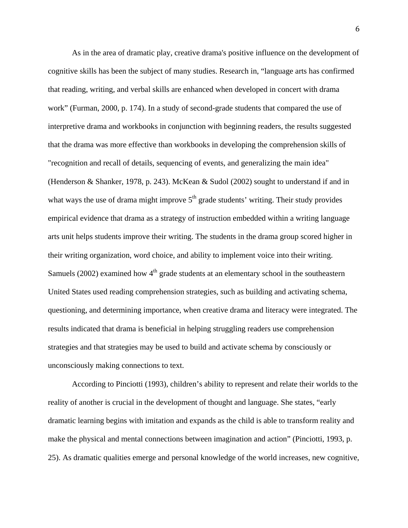As in the area of dramatic play, creative drama's positive influence on the development of cognitive skills has been the subject of many studies. Research in, "language arts has confirmed that reading, writing, and verbal skills are enhanced when developed in concert with drama work" (Furman, 2000, p. 174). In a study of second-grade students that compared the use of interpretive drama and workbooks in conjunction with beginning readers, the results suggested that the drama was more effective than workbooks in developing the comprehension skills of "recognition and recall of details, sequencing of events, and generalizing the main idea" (Henderson & Shanker, 1978, p. 243). McKean & Sudol (2002) sought to understand if and in what ways the use of drama might improve  $5<sup>th</sup>$  grade students' writing. Their study provides empirical evidence that drama as a strategy of instruction embedded within a writing language arts unit helps students improve their writing. The students in the drama group scored higher in their writing organization, word choice, and ability to implement voice into their writing. Samuels (2002) examined how  $4<sup>th</sup>$  grade students at an elementary school in the southeastern United States used reading comprehension strategies, such as building and activating schema, questioning, and determining importance, when creative drama and literacy were integrated. The results indicated that drama is beneficial in helping struggling readers use comprehension strategies and that strategies may be used to build and activate schema by consciously or unconsciously making connections to text.

According to Pinciotti (1993), children's ability to represent and relate their worlds to the reality of another is crucial in the development of thought and language. She states, "early dramatic learning begins with imitation and expands as the child is able to transform reality and make the physical and mental connections between imagination and action" (Pinciotti, 1993, p. 25). As dramatic qualities emerge and personal knowledge of the world increases, new cognitive,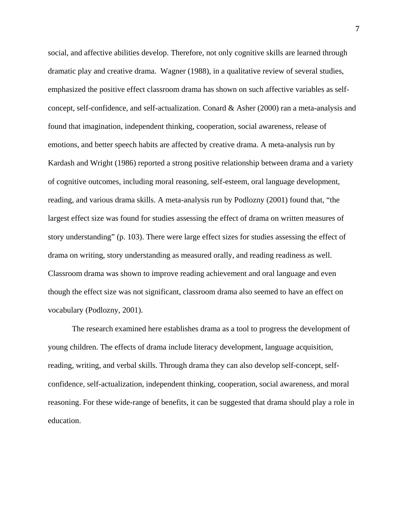social, and affective abilities develop. Therefore, not only cognitive skills are learned through dramatic play and creative drama. Wagner (1988), in a qualitative review of several studies, emphasized the positive effect classroom drama has shown on such affective variables as selfconcept, self-confidence, and self-actualization. Conard & Asher (2000) ran a meta-analysis and found that imagination, independent thinking, cooperation, social awareness, release of emotions, and better speech habits are affected by creative drama. A meta-analysis run by Kardash and Wright (1986) reported a strong positive relationship between drama and a variety of cognitive outcomes, including moral reasoning, self-esteem, oral language development, reading, and various drama skills. A meta-analysis run by Podlozny (2001) found that, "the largest effect size was found for studies assessing the effect of drama on written measures of story understanding" (p. 103). There were large effect sizes for studies assessing the effect of drama on writing, story understanding as measured orally, and reading readiness as well. Classroom drama was shown to improve reading achievement and oral language and even though the effect size was not significant, classroom drama also seemed to have an effect on vocabulary (Podlozny, 2001).

The research examined here establishes drama as a tool to progress the development of young children. The effects of drama include literacy development, language acquisition, reading, writing, and verbal skills. Through drama they can also develop self-concept, selfconfidence, self-actualization, independent thinking, cooperation, social awareness, and moral reasoning. For these wide-range of benefits, it can be suggested that drama should play a role in education.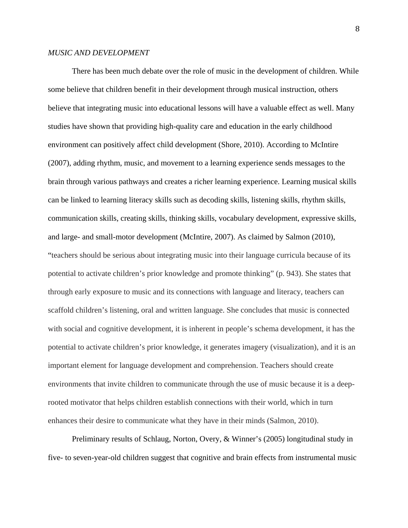# *MUSIC AND DEVELOPMENT*

There has been much debate over the role of music in the development of children. While some believe that children benefit in their development through musical instruction, others believe that integrating music into educational lessons will have a valuable effect as well. Many studies have shown that providing high-quality care and education in the early childhood environment can positively affect child development (Shore, 2010). According to McIntire (2007), adding rhythm, music, and movement to a learning experience sends messages to the brain through various pathways and creates a richer learning experience. Learning musical skills can be linked to learning literacy skills such as decoding skills, listening skills, rhythm skills, communication skills, creating skills, thinking skills, vocabulary development, expressive skills, and large- and small-motor development (McIntire, 2007). As claimed by Salmon (2010), "teachers should be serious about integrating music into their language curricula because of its potential to activate children's prior knowledge and promote thinking" (p. 943). She states that through early exposure to music and its connections with language and literacy, teachers can scaffold children's listening, oral and written language. She concludes that music is connected with social and cognitive development, it is inherent in people's schema development, it has the potential to activate children's prior knowledge, it generates imagery (visualization), and it is an important element for language development and comprehension. Teachers should create environments that invite children to communicate through the use of music because it is a deeprooted motivator that helps children establish connections with their world, which in turn enhances their desire to communicate what they have in their minds (Salmon, 2010).

Preliminary results of Schlaug, Norton, Overy, & Winner's (2005) longitudinal study in five- to seven-year-old children suggest that cognitive and brain effects from instrumental music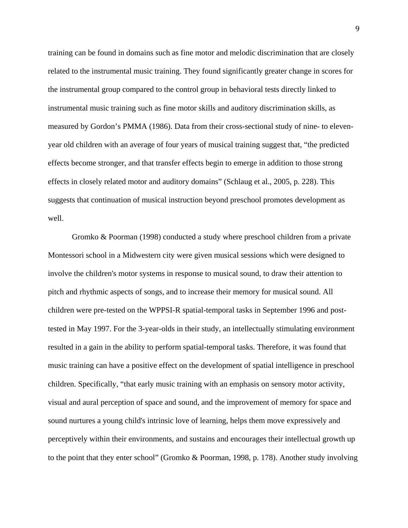training can be found in domains such as fine motor and melodic discrimination that are closely related to the instrumental music training. They found significantly greater change in scores for the instrumental group compared to the control group in behavioral tests directly linked to instrumental music training such as fine motor skills and auditory discrimination skills, as measured by Gordon's PMMA (1986). Data from their cross-sectional study of nine- to elevenyear old children with an average of four years of musical training suggest that, "the predicted effects become stronger, and that transfer effects begin to emerge in addition to those strong effects in closely related motor and auditory domains" (Schlaug et al., 2005, p. 228). This suggests that continuation of musical instruction beyond preschool promotes development as well.

Gromko & Poorman (1998) conducted a study where preschool children from a private Montessori school in a Midwestern city were given musical sessions which were designed to involve the children's motor systems in response to musical sound, to draw their attention to pitch and rhythmic aspects of songs, and to increase their memory for musical sound. All children were pre-tested on the WPPSI-R spatial-temporal tasks in September 1996 and posttested in May 1997. For the 3-year-olds in their study, an intellectually stimulating environment resulted in a gain in the ability to perform spatial-temporal tasks. Therefore, it was found that music training can have a positive effect on the development of spatial intelligence in preschool children. Specifically, "that early music training with an emphasis on sensory motor activity, visual and aural perception of space and sound, and the improvement of memory for space and sound nurtures a young child's intrinsic love of learning, helps them move expressively and perceptively within their environments, and sustains and encourages their intellectual growth up to the point that they enter school" (Gromko & Poorman, 1998, p. 178). Another study involving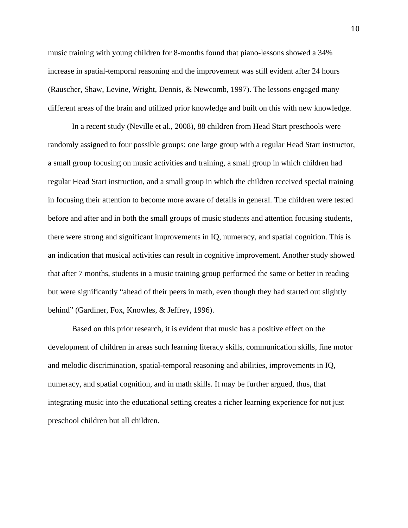music training with young children for 8-months found that piano-lessons showed a 34% increase in spatial-temporal reasoning and the improvement was still evident after 24 hours (Rauscher, Shaw, Levine, Wright, Dennis, & Newcomb, 1997). The lessons engaged many different areas of the brain and utilized prior knowledge and built on this with new knowledge.

In a recent study (Neville et al., 2008), 88 children from Head Start preschools were randomly assigned to four possible groups: one large group with a regular Head Start instructor, a small group focusing on music activities and training, a small group in which children had regular Head Start instruction, and a small group in which the children received special training in focusing their attention to become more aware of details in general. The children were tested before and after and in both the small groups of music students and attention focusing students, there were strong and significant improvements in IQ, numeracy, and spatial cognition. This is an indication that musical activities can result in cognitive improvement. Another study showed that after 7 months, students in a music training group performed the same or better in reading but were significantly "ahead of their peers in math, even though they had started out slightly behind" (Gardiner, Fox, Knowles, & Jeffrey, 1996).

Based on this prior research, it is evident that music has a positive effect on the development of children in areas such learning literacy skills, communication skills, fine motor and melodic discrimination, spatial-temporal reasoning and abilities, improvements in IQ, numeracy, and spatial cognition, and in math skills. It may be further argued, thus, that integrating music into the educational setting creates a richer learning experience for not just preschool children but all children.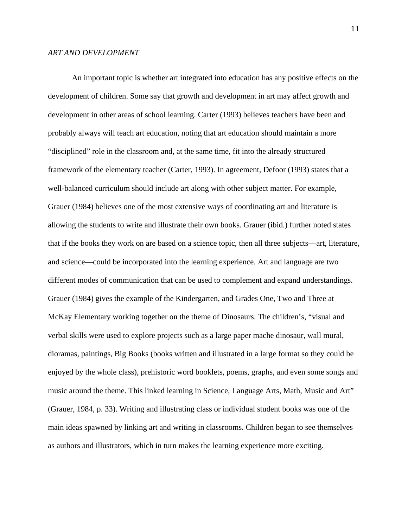An important topic is whether art integrated into education has any positive effects on the development of children. Some say that growth and development in art may affect growth and development in other areas of school learning. Carter (1993) believes teachers have been and probably always will teach art education, noting that art education should maintain a more "disciplined" role in the classroom and, at the same time, fit into the already structured framework of the elementary teacher (Carter, 1993). In agreement, Defoor (1993) states that a well-balanced curriculum should include art along with other subject matter. For example, Grauer (1984) believes one of the most extensive ways of coordinating art and literature is allowing the students to write and illustrate their own books. Grauer (ibid.) further noted states that if the books they work on are based on a science topic, then all three subjects—art, literature, and science—could be incorporated into the learning experience. Art and language are two different modes of communication that can be used to complement and expand understandings. Grauer (1984) gives the example of the Kindergarten, and Grades One, Two and Three at McKay Elementary working together on the theme of Dinosaurs. The children's, "visual and verbal skills were used to explore projects such as a large paper mache dinosaur, wall mural, dioramas, paintings, Big Books (books written and illustrated in a large format so they could be enjoyed by the whole class), prehistoric word booklets, poems, graphs, and even some songs and music around the theme. This linked learning in Science, Language Arts, Math, Music and Art" (Grauer, 1984, p. 33). Writing and illustrating class or individual student books was one of the main ideas spawned by linking art and writing in classrooms. Children began to see themselves as authors and illustrators, which in turn makes the learning experience more exciting.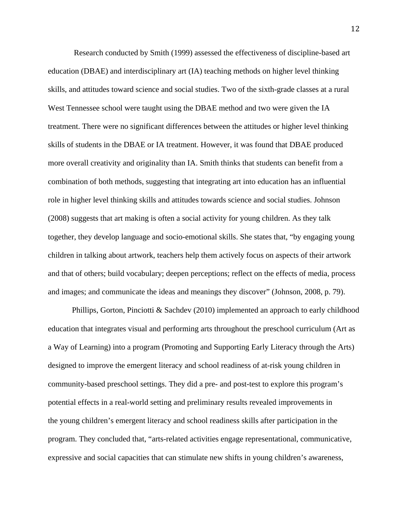Research conducted by Smith (1999) assessed the effectiveness of discipline-based art education (DBAE) and interdisciplinary art (IA) teaching methods on higher level thinking skills, and attitudes toward science and social studies. Two of the sixth-grade classes at a rural West Tennessee school were taught using the DBAE method and two were given the IA treatment. There were no significant differences between the attitudes or higher level thinking skills of students in the DBAE or IA treatment. However, it was found that DBAE produced more overall creativity and originality than IA. Smith thinks that students can benefit from a combination of both methods, suggesting that integrating art into education has an influential role in higher level thinking skills and attitudes towards science and social studies. Johnson (2008) suggests that art making is often a social activity for young children. As they talk together, they develop language and socio-emotional skills. She states that, "by engaging young children in talking about artwork, teachers help them actively focus on aspects of their artwork and that of others; build vocabulary; deepen perceptions; reflect on the effects of media, process and images; and communicate the ideas and meanings they discover" (Johnson, 2008, p. 79).

Phillips, Gorton, Pinciotti & Sachdev (2010) implemented an approach to early childhood education that integrates visual and performing arts throughout the preschool curriculum (Art as a Way of Learning) into a program (Promoting and Supporting Early Literacy through the Arts) designed to improve the emergent literacy and school readiness of at-risk young children in community-based preschool settings. They did a pre- and post-test to explore this program's potential effects in a real-world setting and preliminary results revealed improvements in the young children's emergent literacy and school readiness skills after participation in the program. They concluded that, "arts-related activities engage representational, communicative, expressive and social capacities that can stimulate new shifts in young children's awareness,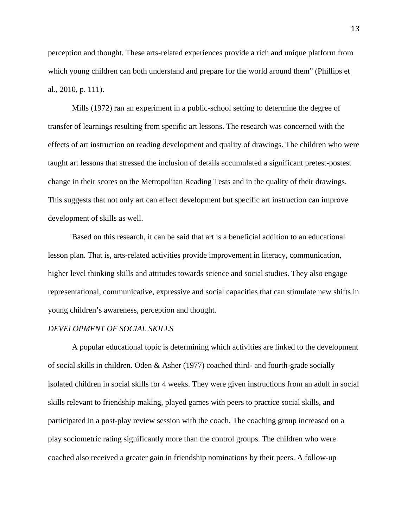perception and thought. These arts-related experiences provide a rich and unique platform from which young children can both understand and prepare for the world around them" (Phillips et al., 2010, p. 111).

 Mills (1972) ran an experiment in a public-school setting to determine the degree of transfer of learnings resulting from specific art lessons. The research was concerned with the effects of art instruction on reading development and quality of drawings. The children who were taught art lessons that stressed the inclusion of details accumulated a significant pretest-postest change in their scores on the Metropolitan Reading Tests and in the quality of their drawings. This suggests that not only art can effect development but specific art instruction can improve development of skills as well.

 Based on this research, it can be said that art is a beneficial addition to an educational lesson plan. That is, arts-related activities provide improvement in literacy, communication, higher level thinking skills and attitudes towards science and social studies. They also engage representational, communicative, expressive and social capacities that can stimulate new shifts in young children's awareness, perception and thought.

## *DEVELOPMENT OF SOCIAL SKILLS*

A popular educational topic is determining which activities are linked to the development of social skills in children. Oden & Asher (1977) coached third- and fourth-grade socially isolated children in social skills for 4 weeks. They were given instructions from an adult in social skills relevant to friendship making, played games with peers to practice social skills, and participated in a post-play review session with the coach. The coaching group increased on a play sociometric rating significantly more than the control groups. The children who were coached also received a greater gain in friendship nominations by their peers. A follow-up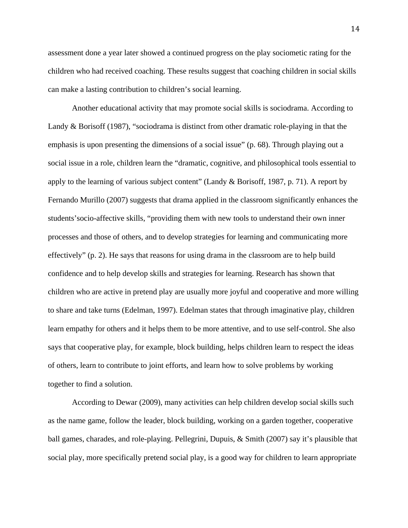assessment done a year later showed a continued progress on the play sociometic rating for the children who had received coaching. These results suggest that coaching children in social skills can make a lasting contribution to children's social learning.

 Another educational activity that may promote social skills is sociodrama. According to Landy & Borisoff (1987), "sociodrama is distinct from other dramatic role-playing in that the emphasis is upon presenting the dimensions of a social issue" (p. 68). Through playing out a social issue in a role, children learn the "dramatic, cognitive, and philosophical tools essential to apply to the learning of various subject content" (Landy & Borisoff, 1987, p. 71). A report by Fernando Murillo (2007) suggests that drama applied in the classroom significantly enhances the students'socio-affective skills, "providing them with new tools to understand their own inner processes and those of others, and to develop strategies for learning and communicating more effectively" (p. 2). He says that reasons for using drama in the classroom are to help build confidence and to help develop skills and strategies for learning. Research has shown that children who are active in pretend play are usually more joyful and cooperative and more willing to share and take turns (Edelman, 1997). Edelman states that through imaginative play, children learn empathy for others and it helps them to be more attentive, and to use self-control. She also says that cooperative play, for example, block building, helps children learn to respect the ideas of others, learn to contribute to joint efforts, and learn how to solve problems by working together to find a solution.

 According to Dewar (2009), many activities can help children develop social skills such as the name game, follow the leader, block building, working on a garden together, cooperative ball games, charades, and role-playing. Pellegrini, Dupuis, & Smith (2007) say it's plausible that social play, more specifically pretend social play, is a good way for children to learn appropriate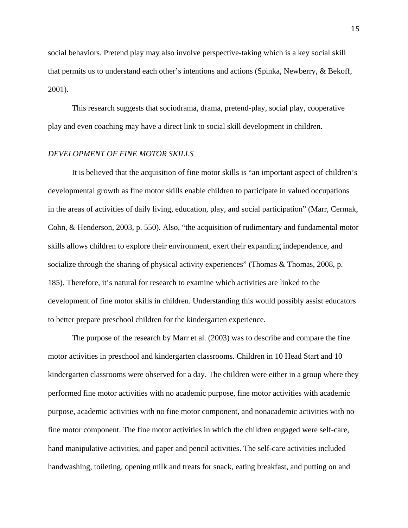social behaviors. Pretend play may also involve perspective-taking which is a key social skill that permits us to understand each other's intentions and actions (Spinka, Newberry, & Bekoff, 2001).

 This research suggests that sociodrama, drama, pretend-play, social play, cooperative play and even coaching may have a direct link to social skill development in children.

# *DEVELOPMENT OF FINE MOTOR SKILLS*

It is believed that the acquisition of fine motor skills is "an important aspect of children's developmental growth as fine motor skills enable children to participate in valued occupations in the areas of activities of daily living, education, play, and social participation" (Marr, Cermak, Cohn, & Henderson, 2003, p. 550). Also, "the acquisition of rudimentary and fundamental motor skills allows children to explore their environment, exert their expanding independence, and socialize through the sharing of physical activity experiences" (Thomas & Thomas, 2008, p. 185). Therefore, it's natural for research to examine which activities are linked to the development of fine motor skills in children. Understanding this would possibly assist educators to better prepare preschool children for the kindergarten experience.

The purpose of the research by Marr et al. (2003) was to describe and compare the fine motor activities in preschool and kindergarten classrooms. Children in 10 Head Start and 10 kindergarten classrooms were observed for a day. The children were either in a group where they performed fine motor activities with no academic purpose, fine motor activities with academic purpose, academic activities with no fine motor component, and nonacademic activities with no fine motor component. The fine motor activities in which the children engaged were self-care, hand manipulative activities, and paper and pencil activities. The self-care activities included handwashing, toileting, opening milk and treats for snack, eating breakfast, and putting on and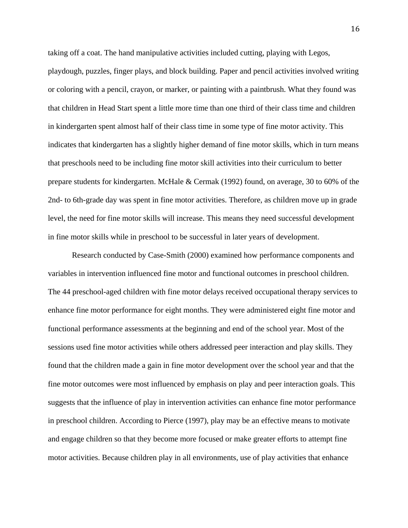taking off a coat. The hand manipulative activities included cutting, playing with Legos, playdough, puzzles, finger plays, and block building. Paper and pencil activities involved writing or coloring with a pencil, crayon, or marker, or painting with a paintbrush. What they found was that children in Head Start spent a little more time than one third of their class time and children in kindergarten spent almost half of their class time in some type of fine motor activity. This indicates that kindergarten has a slightly higher demand of fine motor skills, which in turn means that preschools need to be including fine motor skill activities into their curriculum to better prepare students for kindergarten. McHale & Cermak (1992) found, on average, 30 to 60% of the 2nd- to 6th-grade day was spent in fine motor activities. Therefore, as children move up in grade level, the need for fine motor skills will increase. This means they need successful development in fine motor skills while in preschool to be successful in later years of development.

Research conducted by Case-Smith (2000) examined how performance components and variables in intervention influenced fine motor and functional outcomes in preschool children. The 44 preschool-aged children with fine motor delays received occupational therapy services to enhance fine motor performance for eight months. They were administered eight fine motor and functional performance assessments at the beginning and end of the school year. Most of the sessions used fine motor activities while others addressed peer interaction and play skills. They found that the children made a gain in fine motor development over the school year and that the fine motor outcomes were most influenced by emphasis on play and peer interaction goals. This suggests that the influence of play in intervention activities can enhance fine motor performance in preschool children. According to Pierce (1997), play may be an effective means to motivate and engage children so that they become more focused or make greater efforts to attempt fine motor activities. Because children play in all environments, use of play activities that enhance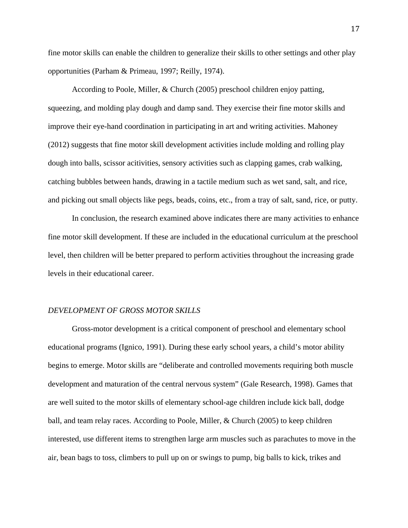fine motor skills can enable the children to generalize their skills to other settings and other play opportunities (Parham & Primeau, 1997; Reilly, 1974).

 According to Poole, Miller, & Church (2005) preschool children enjoy patting, squeezing, and molding play dough and damp sand. They exercise their fine motor skills and improve their eye-hand coordination in participating in art and writing activities. Mahoney (2012) suggests that fine motor skill development activities include molding and rolling play dough into balls, scissor acitivities, sensory activities such as clapping games, crab walking, catching bubbles between hands, drawing in a tactile medium such as wet sand, salt, and rice, and picking out small objects like pegs, beads, coins, etc., from a tray of salt, sand, rice, or putty.

 In conclusion, the research examined above indicates there are many activities to enhance fine motor skill development. If these are included in the educational curriculum at the preschool level, then children will be better prepared to perform activities throughout the increasing grade levels in their educational career.

#### *DEVELOPMENT OF GROSS MOTOR SKILLS*

Gross-motor development is a critical component of preschool and elementary school educational programs (Ignico, 1991). During these early school years, a child's motor ability begins to emerge. Motor skills are "deliberate and controlled movements requiring both muscle development and maturation of the central nervous system" (Gale Research, 1998). Games that are well suited to the motor skills of elementary school-age children include kick ball, dodge ball, and team relay races. According to Poole, Miller, & Church (2005) to keep children interested, use different items to strengthen large arm muscles such as parachutes to move in the air, bean bags to toss, climbers to pull up on or swings to pump, big balls to kick, trikes and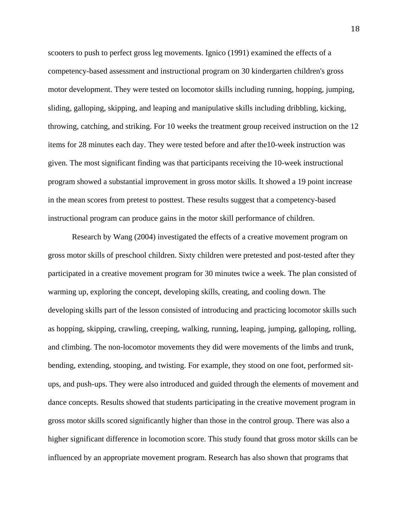scooters to push to perfect gross leg movements. Ignico (1991) examined the effects of a competency-based assessment and instructional program on 30 kindergarten children's gross motor development. They were tested on locomotor skills including running, hopping, jumping, sliding, galloping, skipping, and leaping and manipulative skills including dribbling, kicking, throwing, catching, and striking. For 10 weeks the treatment group received instruction on the 12 items for 28 minutes each day. They were tested before and after the10-week instruction was given. The most significant finding was that participants receiving the 10-week instructional program showed a substantial improvement in gross motor skills. It showed a 19 point increase in the mean scores from pretest to posttest. These results suggest that a competency-based instructional program can produce gains in the motor skill performance of children.

Research by Wang (2004) investigated the effects of a creative movement program on gross motor skills of preschool children. Sixty children were pretested and post-tested after they participated in a creative movement program for 30 minutes twice a week. The plan consisted of warming up, exploring the concept, developing skills, creating, and cooling down. The developing skills part of the lesson consisted of introducing and practicing locomotor skills such as hopping, skipping, crawling, creeping, walking, running, leaping, jumping, galloping, rolling, and climbing. The non-locomotor movements they did were movements of the limbs and trunk, bending, extending, stooping, and twisting. For example, they stood on one foot, performed situps, and push-ups. They were also introduced and guided through the elements of movement and dance concepts. Results showed that students participating in the creative movement program in gross motor skills scored significantly higher than those in the control group. There was also a higher significant difference in locomotion score. This study found that gross motor skills can be influenced by an appropriate movement program. Research has also shown that programs that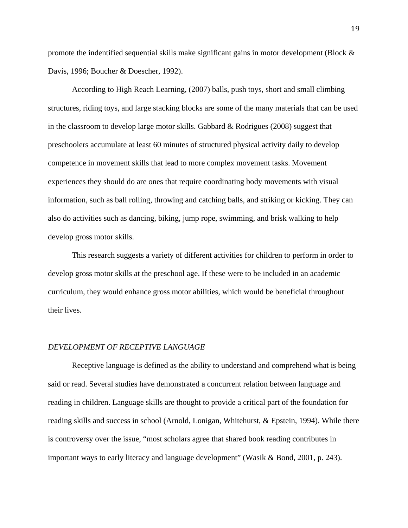promote the indentified sequential skills make significant gains in motor development (Block & Davis, 1996; Boucher & Doescher, 1992).

According to High Reach Learning, (2007) balls, push toys, short and small climbing structures, riding toys, and large stacking blocks are some of the many materials that can be used in the classroom to develop large motor skills. Gabbard & Rodrigues (2008) suggest that preschoolers accumulate at least 60 minutes of structured physical activity daily to develop competence in movement skills that lead to more complex movement tasks. Movement experiences they should do are ones that require coordinating body movements with visual information, such as ball rolling, throwing and catching balls, and striking or kicking. They can also do activities such as dancing, biking, jump rope, swimming, and brisk walking to help develop gross motor skills.

This research suggests a variety of different activities for children to perform in order to develop gross motor skills at the preschool age. If these were to be included in an academic curriculum, they would enhance gross motor abilities, which would be beneficial throughout their lives.

## *DEVELOPMENT OF RECEPTIVE LANGUAGE*

Receptive language is defined as the ability to understand and comprehend what is being said or read. Several studies have demonstrated a concurrent relation between language and reading in children. Language skills are thought to provide a critical part of the foundation for reading skills and success in school (Arnold, Lonigan, Whitehurst, & Epstein, 1994). While there is controversy over the issue, "most scholars agree that shared book reading contributes in important ways to early literacy and language development" (Wasik & Bond, 2001, p. 243).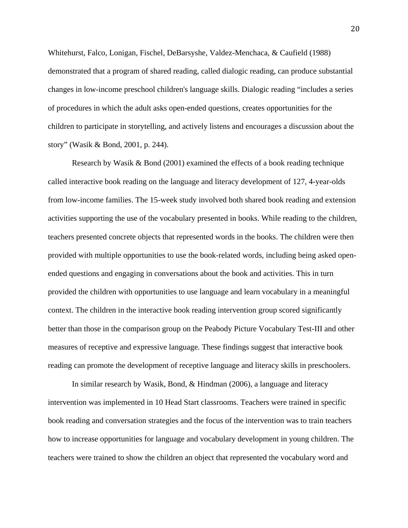Whitehurst, Falco, Lonigan, Fischel, DeBarsyshe, Valdez-Menchaca, & Caufield (1988) demonstrated that a program of shared reading, called dialogic reading, can produce substantial changes in low-income preschool children's language skills. Dialogic reading "includes a series of procedures in which the adult asks open-ended questions, creates opportunities for the children to participate in storytelling, and actively listens and encourages a discussion about the story" (Wasik & Bond, 2001, p. 244).

Research by Wasik  $\&$  Bond (2001) examined the effects of a book reading technique called interactive book reading on the language and literacy development of 127, 4-year-olds from low-income families. The 15-week study involved both shared book reading and extension activities supporting the use of the vocabulary presented in books. While reading to the children, teachers presented concrete objects that represented words in the books. The children were then provided with multiple opportunities to use the book-related words, including being asked openended questions and engaging in conversations about the book and activities. This in turn provided the children with opportunities to use language and learn vocabulary in a meaningful context. The children in the interactive book reading intervention group scored significantly better than those in the comparison group on the Peabody Picture Vocabulary Test-III and other measures of receptive and expressive language. These findings suggest that interactive book reading can promote the development of receptive language and literacy skills in preschoolers.

In similar research by Wasik, Bond, & Hindman (2006), a language and literacy intervention was implemented in 10 Head Start classrooms. Teachers were trained in specific book reading and conversation strategies and the focus of the intervention was to train teachers how to increase opportunities for language and vocabulary development in young children. The teachers were trained to show the children an object that represented the vocabulary word and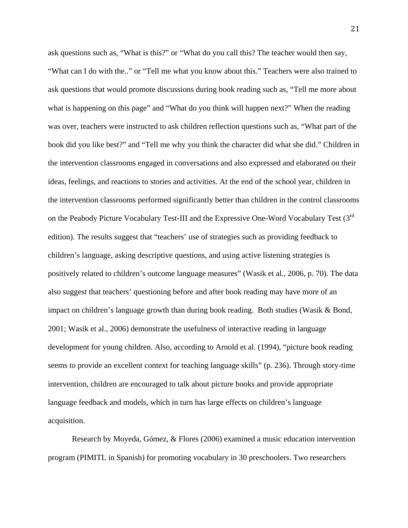ask questions such as, "What is this?" or "What do you call this? The teacher would then say, "What can I do with the.." or "Tell me what you know about this." Teachers were also trained to ask questions that would promote discussions during book reading such as, "Tell me more about what is happening on this page" and "What do you think will happen next?" When the reading was over, teachers were instructed to ask children reflection questions such as, "What part of the book did you like best?" and "Tell me why you think the character did what she did." Children in the intervention classrooms engaged in conversations and also expressed and elaborated on their ideas, feelings, and reactions to stories and activities. At the end of the school year, children in the intervention classrooms performed significantly better than children in the control classrooms on the Peabody Picture Vocabulary Test-III and the Expressive One-Word Vocabulary Test (3<sup>rd</sup>) edition). The results suggest that "teachers' use of strategies such as providing feedback to children's language, asking descriptive questions, and using active listening strategies is positively related to children's outcome language measures" (Wasik et al., 2006, p. 70). The data also suggest that teachers' questioning before and after book reading may have more of an impact on children's language growth than during book reading. Both studies (Wasik & Bond, 2001; Wasik et al., 2006) demonstrate the usefulness of interactive reading in language development for young children. Also, according to Arnold et al. (1994), "picture book reading seems to provide an excellent context for teaching language skills" (p. 236). Through story-time intervention, children are encouraged to talk about picture books and provide appropriate language feedback and models, which in turn has large effects on children's language acquisition.

Research by Moyeda, Gómez, & Flores (2006) examined a music education intervention program (PIMITL in Spanish) for promoting vocabulary in 30 preschoolers. Two researchers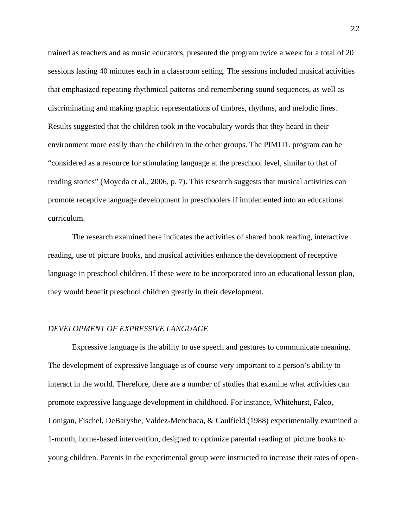trained as teachers and as music educators, presented the program twice a week for a total of 20 sessions lasting 40 minutes each in a classroom setting. The sessions included musical activities that emphasized repeating rhythmical patterns and remembering sound sequences, as well as discriminating and making graphic representations of timbres, rhythms, and melodic lines. Results suggested that the children took in the vocabulary words that they heard in their environment more easily than the children in the other groups. The PIMITL program can be "considered as a resource for stimulating language at the preschool level, similar to that of reading stories" (Moyeda et al., 2006, p. 7). This research suggests that musical activities can promote receptive language development in preschoolers if implemented into an educational curriculum.

The research examined here indicates the activities of shared book reading, interactive reading, use of picture books, and musical activities enhance the development of receptive language in preschool children. If these were to be incorporated into an educational lesson plan, they would benefit preschool children greatly in their development.

## *DEVELOPMENT OF EXPRESSIVE LANGUAGE*

 Expressive language is the ability to use speech and gestures to communicate meaning. The development of expressive language is of course very important to a person's ability to interact in the world. Therefore, there are a number of studies that examine what activities can promote expressive language development in childhood. For instance, Whitehurst, Falco, Lonigan, Fischel, DeBaryshe, Valdez-Menchaca, & Caulfield (1988) experimentally examined a 1-month, home-based intervention, designed to optimize parental reading of picture books to young children. Parents in the experimental group were instructed to increase their rates of open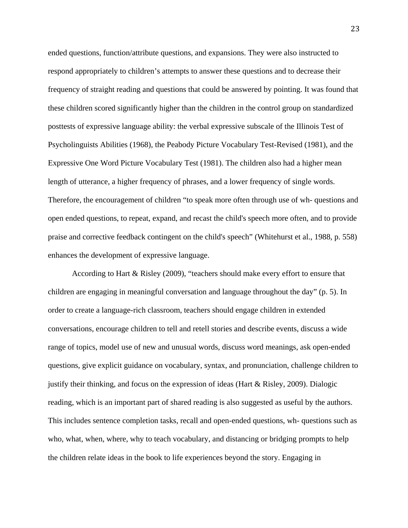ended questions, function/attribute questions, and expansions. They were also instructed to respond appropriately to children's attempts to answer these questions and to decrease their frequency of straight reading and questions that could be answered by pointing. It was found that these children scored significantly higher than the children in the control group on standardized posttests of expressive language ability: the verbal expressive subscale of the Illinois Test of Psycholinguists Abilities (1968), the Peabody Picture Vocabulary Test-Revised (1981), and the Expressive One Word Picture Vocabulary Test (1981). The children also had a higher mean length of utterance, a higher frequency of phrases, and a lower frequency of single words. Therefore, the encouragement of children "to speak more often through use of wh- questions and open ended questions, to repeat, expand, and recast the child's speech more often, and to provide praise and corrective feedback contingent on the child's speech" (Whitehurst et al., 1988, p. 558) enhances the development of expressive language.

 According to Hart & Risley (2009), "teachers should make every effort to ensure that children are engaging in meaningful conversation and language throughout the day" (p. 5). In order to create a language-rich classroom, teachers should engage children in extended conversations, encourage children to tell and retell stories and describe events, discuss a wide range of topics, model use of new and unusual words, discuss word meanings, ask open-ended questions, give explicit guidance on vocabulary, syntax, and pronunciation, challenge children to justify their thinking, and focus on the expression of ideas (Hart & Risley, 2009). Dialogic reading, which is an important part of shared reading is also suggested as useful by the authors. This includes sentence completion tasks, recall and open-ended questions, wh- questions such as who, what, when, where, why to teach vocabulary, and distancing or bridging prompts to help the children relate ideas in the book to life experiences beyond the story. Engaging in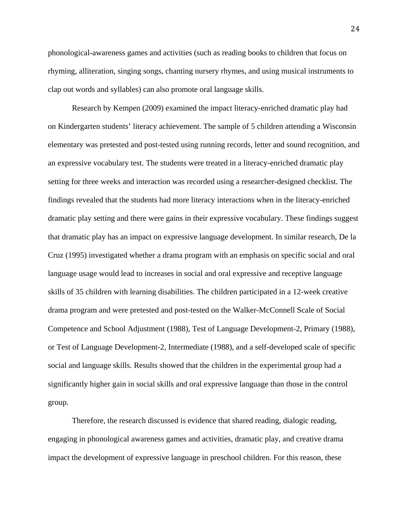phonological-awareness games and activities (such as reading books to children that focus on rhyming, alliteration, singing songs, chanting nursery rhymes, and using musical instruments to clap out words and syllables) can also promote oral language skills.

 Research by Kempen (2009) examined the impact literacy-enriched dramatic play had on Kindergarten students' literacy achievement. The sample of 5 children attending a Wisconsin elementary was pretested and post-tested using running records, letter and sound recognition, and an expressive vocabulary test. The students were treated in a literacy-enriched dramatic play setting for three weeks and interaction was recorded using a researcher-designed checklist. The findings revealed that the students had more literacy interactions when in the literacy-enriched dramatic play setting and there were gains in their expressive vocabulary. These findings suggest that dramatic play has an impact on expressive language development. In similar research, De la Cruz (1995) investigated whether a drama program with an emphasis on specific social and oral language usage would lead to increases in social and oral expressive and receptive language skills of 35 children with learning disabilities. The children participated in a 12-week creative drama program and were pretested and post-tested on the Walker-McConnell Scale of Social Competence and School Adjustment (1988), Test of Language Development-2, Primary (1988), or Test of Language Development-2, Intermediate (1988), and a self-developed scale of specific social and language skills. Results showed that the children in the experimental group had a significantly higher gain in social skills and oral expressive language than those in the control group.

 Therefore, the research discussed is evidence that shared reading, dialogic reading, engaging in phonological awareness games and activities, dramatic play, and creative drama impact the development of expressive language in preschool children. For this reason, these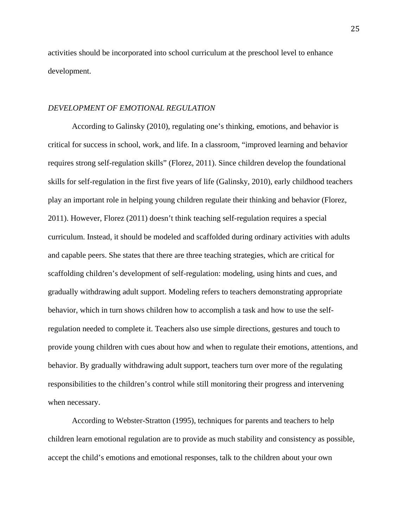activities should be incorporated into school curriculum at the preschool level to enhance development.

## *DEVELOPMENT OF EMOTIONAL REGULATION*

 According to Galinsky (2010), regulating one's thinking, emotions, and behavior is critical for success in school, work, and life. In a classroom, "improved learning and behavior requires strong self-regulation skills" (Florez, 2011). Since children develop the foundational skills for self-regulation in the first five years of life (Galinsky, 2010), early childhood teachers play an important role in helping young children regulate their thinking and behavior (Florez, 2011). However, Florez (2011) doesn't think teaching self-regulation requires a special curriculum. Instead, it should be modeled and scaffolded during ordinary activities with adults and capable peers. She states that there are three teaching strategies, which are critical for scaffolding children's development of self-regulation: modeling, using hints and cues, and gradually withdrawing adult support. Modeling refers to teachers demonstrating appropriate behavior, which in turn shows children how to accomplish a task and how to use the selfregulation needed to complete it. Teachers also use simple directions, gestures and touch to provide young children with cues about how and when to regulate their emotions, attentions, and behavior. By gradually withdrawing adult support, teachers turn over more of the regulating responsibilities to the children's control while still monitoring their progress and intervening when necessary.

 According to Webster-Stratton (1995), techniques for parents and teachers to help children learn emotional regulation are to provide as much stability and consistency as possible, accept the child's emotions and emotional responses, talk to the children about your own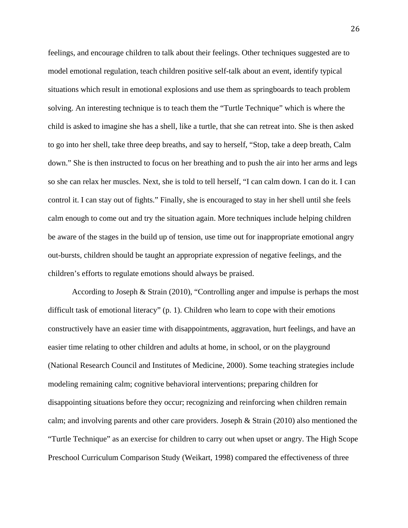feelings, and encourage children to talk about their feelings. Other techniques suggested are to model emotional regulation, teach children positive self-talk about an event, identify typical situations which result in emotional explosions and use them as springboards to teach problem solving. An interesting technique is to teach them the "Turtle Technique" which is where the child is asked to imagine she has a shell, like a turtle, that she can retreat into. She is then asked to go into her shell, take three deep breaths, and say to herself, "Stop, take a deep breath, Calm down." She is then instructed to focus on her breathing and to push the air into her arms and legs so she can relax her muscles. Next, she is told to tell herself, "I can calm down. I can do it. I can control it. I can stay out of fights." Finally, she is encouraged to stay in her shell until she feels calm enough to come out and try the situation again. More techniques include helping children be aware of the stages in the build up of tension, use time out for inappropriate emotional angry out-bursts, children should be taught an appropriate expression of negative feelings, and the children's efforts to regulate emotions should always be praised.

 According to Joseph & Strain (2010), "Controlling anger and impulse is perhaps the most difficult task of emotional literacy" (p. 1). Children who learn to cope with their emotions constructively have an easier time with disappointments, aggravation, hurt feelings, and have an easier time relating to other children and adults at home, in school, or on the playground (National Research Council and Institutes of Medicine, 2000). Some teaching strategies include modeling remaining calm; cognitive behavioral interventions; preparing children for disappointing situations before they occur; recognizing and reinforcing when children remain calm; and involving parents and other care providers. Joseph & Strain (2010) also mentioned the "Turtle Technique" as an exercise for children to carry out when upset or angry. The High Scope Preschool Curriculum Comparison Study (Weikart, 1998) compared the effectiveness of three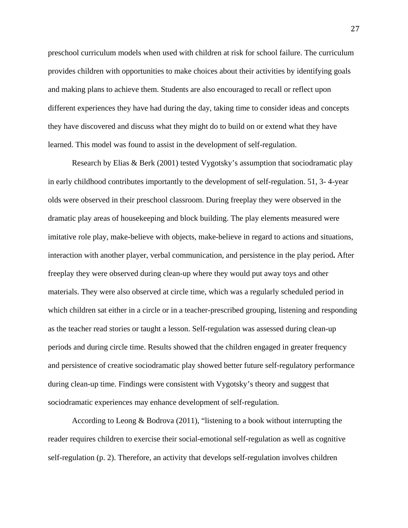preschool curriculum models when used with children at risk for school failure. The curriculum provides children with opportunities to make choices about their activities by identifying goals and making plans to achieve them. Students are also encouraged to recall or reflect upon different experiences they have had during the day, taking time to consider ideas and concepts they have discovered and discuss what they might do to build on or extend what they have learned. This model was found to assist in the development of self-regulation.

 Research by Elias & Berk (2001) tested Vygotsky's assumption that sociodramatic play in early childhood contributes importantly to the development of self-regulation. 51, 3- 4-year olds were observed in their preschool classroom. During freeplay they were observed in the dramatic play areas of housekeeping and block building. The play elements measured were imitative role play, make-believe with objects, make-believe in regard to actions and situations, interaction with another player, verbal communication, and persistence in the play period**.** After freeplay they were observed during clean-up where they would put away toys and other materials. They were also observed at circle time, which was a regularly scheduled period in which children sat either in a circle or in a teacher-prescribed grouping, listening and responding as the teacher read stories or taught a lesson. Self-regulation was assessed during clean-up periods and during circle time. Results showed that the children engaged in greater frequency and persistence of creative sociodramatic play showed better future self-regulatory performance during clean-up time. Findings were consistent with Vygotsky's theory and suggest that sociodramatic experiences may enhance development of self-regulation.

 According to Leong & Bodrova (2011), "listening to a book without interrupting the reader requires children to exercise their social-emotional self-regulation as well as cognitive self-regulation (p. 2). Therefore, an activity that develops self-regulation involves children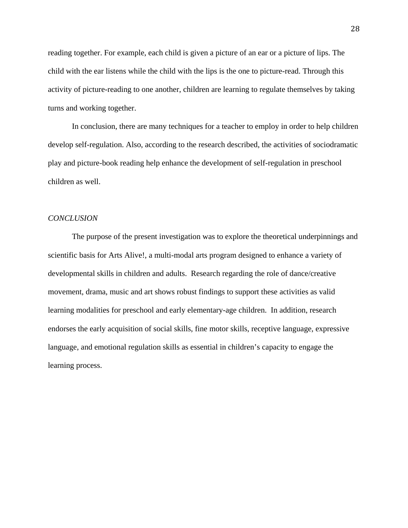reading together. For example, each child is given a picture of an ear or a picture of lips. The child with the ear listens while the child with the lips is the one to picture-read. Through this activity of picture-reading to one another, children are learning to regulate themselves by taking turns and working together.

 In conclusion, there are many techniques for a teacher to employ in order to help children develop self-regulation. Also, according to the research described, the activities of sociodramatic play and picture-book reading help enhance the development of self-regulation in preschool children as well.

## *CONCLUSION*

The purpose of the present investigation was to explore the theoretical underpinnings and scientific basis for Arts Alive!, a multi-modal arts program designed to enhance a variety of developmental skills in children and adults. Research regarding the role of dance/creative movement, drama, music and art shows robust findings to support these activities as valid learning modalities for preschool and early elementary-age children. In addition, research endorses the early acquisition of social skills, fine motor skills, receptive language, expressive language, and emotional regulation skills as essential in children's capacity to engage the learning process.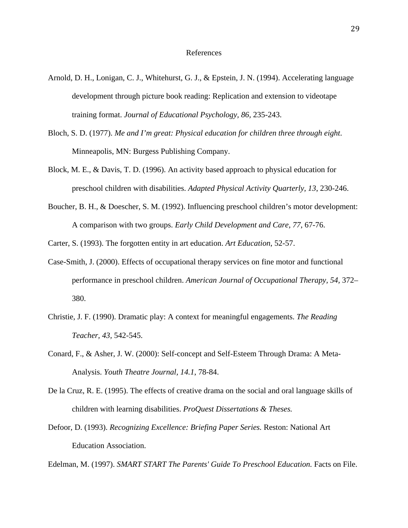- Arnold, D. H., Lonigan, C. J., Whitehurst, G. J., & Epstein, J. N. (1994). Accelerating language development through picture book reading: Replication and extension to videotape training format. *Journal of Educational Psychology, 86,* 235-243.
- Bloch, S. D. (1977). *Me and I'm great: Physical education for children three through eight*. Minneapolis, MN: Burgess Publishing Company.
- Block, M. E., & Davis, T. D. (1996). An activity based approach to physical education for preschool children with disabilities. *Adapted Physical Activity Quarterly, 13*, 230-246.
- Boucher, B. H., & Doescher, S. M. (1992). Influencing preschool children's motor development: A comparison with two groups. *Early Child Development and Care, 77*, 67-76.

Carter, S. (1993). The forgotten entity in art education. *Art Education*, 52-57.

- Case-Smith, J. (2000). Effects of occupational therapy services on fine motor and functional performance in preschool children. *American Journal of Occupational Therapy, 54,* 372– 380.
- Christie, J. F. (1990). Dramatic play: A context for meaningful engagements. *The Reading Teacher, 43,* 542-545.
- Conard, F., & Asher, J. W. (2000): Self-concept and Self-Esteem Through Drama: A Meta-Analysis. *Youth Theatre Journal, 14.1*, 78-84.
- De la Cruz, R. E. (1995). The effects of creative drama on the social and oral language skills of children with learning disabilities. *ProQuest Dissertations & Theses.*
- Defoor, D. (1993). *Recognizing Excellence: Briefing Paper Series.* Reston: National Art Education Association.

Edelman, M. (1997). *SMART START The Parents' Guide To Preschool Education*. Facts on File.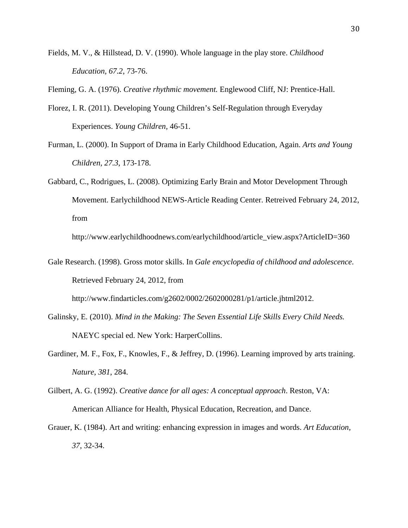Fields, M. V., & Hillstead, D. V. (1990). Whole language in the play store. *Childhood Education, 67.2*, 73-76.

Fleming, G. A. (1976). *Creative rhythmic movement.* Englewood Cliff, NJ: Prentice-Hall.

- Florez, I. R. (2011). Developing Young Children's Self-Regulation through Everyday Experiences. *Young Children,* 46-51.
- Furman, L. (2000). In Support of Drama in Early Childhood Education, Again. *Arts and Young Children, 27.3*, 173-178.
- Gabbard, C., Rodrigues, L. (2008). Optimizing Early Brain and Motor Development Through Movement. Earlychildhood NEWS-Article Reading Center. Retreived February 24, 2012, from

http://www.earlychildhoodnews.com/earlychildhood/article\_view.aspx?ArticleID=360

Gale Research. (1998). Gross motor skills. In *Gale encyclopedia of childhood and adolescence*. Retrieved February 24, 2012, from

http://www.findarticles.com/g2602/0002/2602000281/p1/article.jhtml2012.

- Galinsky, E. (2010). *Mind in the Making: The Seven Essential Life Skills Every Child Needs.*  NAEYC special ed. New York: HarperCollins.
- Gardiner, M. F., Fox, F., Knowles, F., & Jeffrey, D. (1996). Learning improved by arts training. *Nature*, *381*, 284.
- Gilbert, A. G. (1992). *Creative dance for all ages: A conceptual approach*. Reston, VA: American Alliance for Health, Physical Education, Recreation, and Dance.
- Grauer, K. (1984). Art and writing: enhancing expression in images and words. *Art Education, 37*, 32-34.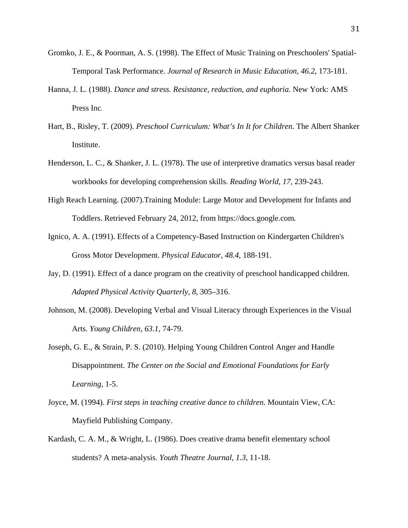- Gromko, J. E., & Poorman, A. S. (1998). The Effect of Music Training on Preschoolers' Spatial-Temporal Task Performance. *Journal of Research in Music Education, 46.2*, 173-181.
- Hanna, J. L. (1988). *Dance and stress. Resistance, reduction, and euphoria*. New York: AMS Press Inc.
- Hart, B., Risley, T. (2009). *Preschool Curriculum: What's In It for Children.* The Albert Shanker Institute.
- Henderson, L. C., & Shanker, J. L. (1978). The use of interpretive dramatics versus basal reader workbooks for developing comprehension skills. *Reading World, 17,* 239-243.
- High Reach Learning. (2007).Training Module: Large Motor and Development for Infants and Toddlers. Retrieved February 24, 2012, from https://docs.google.com*.*
- Ignico, A. A. (1991). Effects of a Competency-Based Instruction on Kindergarten Children's Gross Motor Development. *Physical Educator, 48.4,* 188-191.
- Jay, D. (1991). Effect of a dance program on the creativity of preschool handicapped children. *Adapted Physical Activity Quarterly*, *8*, 305–316.
- Johnson, M. (2008). Developing Verbal and Visual Literacy through Experiences in the Visual Arts. *Young Children*, *63.1*, 74-79.

Joseph, G. E., & Strain, P. S. (2010). Helping Young Children Control Anger and Handle Disappointment. *The Center on the Social and Emotional Foundations for Early Learning,* 1-5.

- Joyce, M. (1994). *First steps in teaching creative dance to children*. Mountain View, CA: Mayfield Publishing Company.
- Kardash, C. A. M., & Wright, L. (1986). Does creative drama benefit elementary school students? A meta-analysis. *Youth Theatre Journal, 1.3*, 11-18.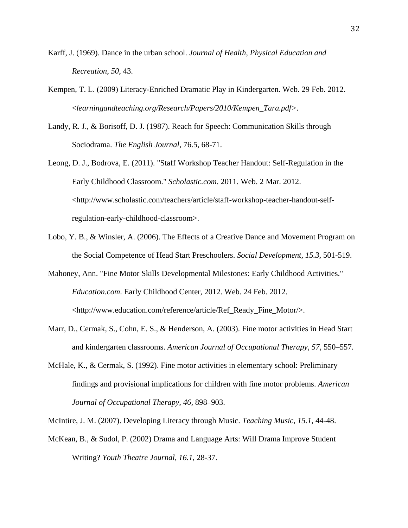- Karff, J. (1969). Dance in the urban school. *Journal of Health, Physical Education and Recreation*, *50*, 43.
- Kempen, T. L. (2009) Literacy-Enriched Dramatic Play in Kindergarten. Web. 29 Feb. 2012. <*learningandteaching.org/Research/Papers/2010/Kempen\_Tara.pdf>.*
- Landy, R. J., & Borisoff, D. J. (1987). Reach for Speech: Communication Skills through Sociodrama. *The English Journal*, 76.5, 68-71.
- Leong, D. J., Bodrova, E. (2011). "Staff Workshop Teacher Handout: Self-Regulation in the Early Childhood Classroom." *Scholastic.com*. 2011. Web. 2 Mar. 2012. <http://www.scholastic.com/teachers/article/staff-workshop-teacher-handout-selfregulation-early-childhood-classroom>.
- Lobo, Y. B., & Winsler, A. (2006). The Effects of a Creative Dance and Movement Program on the Social Competence of Head Start Preschoolers. *Social Development, 15.3*, 501-519.
- Mahoney, Ann. "Fine Motor Skills Developmental Milestones: Early Childhood Activities." *Education.com*. Early Childhood Center, 2012. Web. 24 Feb. 2012. <http://www.education.com/reference/article/Ref\_Ready\_Fine\_Motor/>.
- Marr, D., Cermak, S., Cohn, E. S., & Henderson, A. (2003). Fine motor activities in Head Start and kindergarten classrooms. *American Journal of Occupational Therapy, 57,* 550–557.
- McHale, K., & Cermak, S. (1992). Fine motor activities in elementary school: Preliminary findings and provisional implications for children with fine motor problems. *American Journal of Occupational Therapy, 46,* 898–903.

McIntire, J. M. (2007). Developing Literacy through Music. *Teaching Music*, *15.1*, 44-48.

McKean, B., & Sudol, P. (2002) Drama and Language Arts: Will Drama Improve Student Writing? *Youth Theatre Journal, 16.1*, 28-37.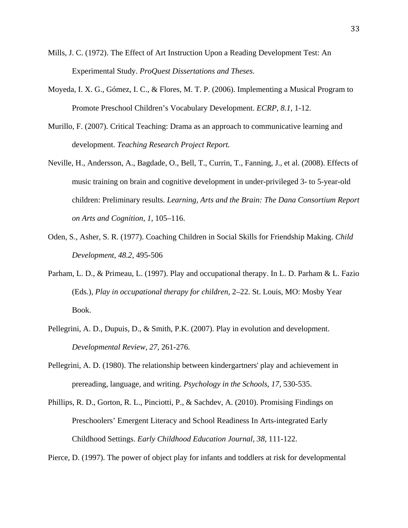- Mills, J. C. (1972). The Effect of Art Instruction Upon a Reading Development Test: An Experimental Study. *ProQuest Dissertations and Theses*.
- Moyeda, I. X. G., Gómez, I. C., & Flores, M. T. P. (2006). Implementing a Musical Program to Promote Preschool Children's Vocabulary Development. *ECRP, 8.1*, 1-12.
- Murillo, F. (2007). Critical Teaching: Drama as an approach to communicative learning and development. *Teaching Research Project Report.*
- Neville, H., Andersson, A., Bagdade, O., Bell, T., Currin, T., Fanning, J., et al. (2008). Effects of music training on brain and cognitive development in under-privileged 3- to 5-year-old children: Preliminary results. *Learning, Arts and the Brain: The Dana Consortium Report on Arts and Cognition*, *1*, 105–116.
- Oden, S., Asher, S. R. (1977). Coaching Children in Social Skills for Friendship Making. *Child Development, 48.2*, 495-506
- Parham, L. D., & Primeau, L. (1997). Play and occupational therapy. In L. D. Parham & L. Fazio (Eds.), *Play in occupational therapy for children,* 2–22. St. Louis, MO: Mosby Year Book.
- Pellegrini, A. D., Dupuis, D., & Smith, P.K. (2007). Play in evolution and development. *Developmental Review, 27*, 261-276.
- Pellegrini, A. D. (1980). The relationship between kindergartners' play and achievement in prereading, language, and writing. *Psychology in the Schools, 17,* 530-535.
- Phillips, R. D., Gorton, R. L., Pinciotti, P., & Sachdev, A. (2010). Promising Findings on Preschoolers' Emergent Literacy and School Readiness In Arts-integrated Early Childhood Settings. *Early Childhood Education Journal, 38*, 111-122.

Pierce, D. (1997). The power of object play for infants and toddlers at risk for developmental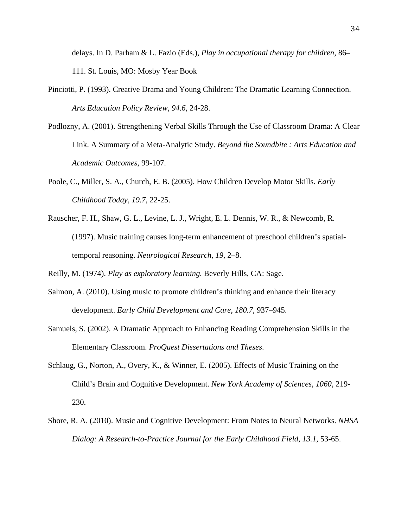delays. In D. Parham & L. Fazio (Eds.), *Play in occupational therapy for children,* 86– 111. St. Louis, MO: Mosby Year Book

- Pinciotti, P. (1993). Creative Drama and Young Children: The Dramatic Learning Connection. *Arts Education Policy Review, 94.6*, 24-28.
- Podlozny, A. (2001). Strengthening Verbal Skills Through the Use of Classroom Drama: A Clear Link. A Summary of a Meta-Analytic Study. *Beyond the Soundbite : Arts Education and Academic Outcomes,* 99-107.
- Poole, C., Miller, S. A., Church, E. B. (2005). How Children Develop Motor Skills. *Early Childhood Today, 19.7*, 22-25.
- Rauscher, F. H., Shaw, G. L., Levine, L. J., Wright, E. L. Dennis, W. R., & Newcomb, R. (1997). Music training causes long-term enhancement of preschool children's spatialtemporal reasoning. *Neurological Research*, *19*, 2–8.

Reilly, M. (1974). *Play as exploratory learning.* Beverly Hills, CA: Sage.

- Salmon, A. (2010). Using music to promote children's thinking and enhance their literacy development. *Early Child Development and Care*, *180.7*, 937–945.
- Samuels, S. (2002). A Dramatic Approach to Enhancing Reading Comprehension Skills in the Elementary Classroom. *ProQuest Dissertations and Theses*.
- Schlaug, G., Norton, A., Overy, K., & Winner, E. (2005). Effects of Music Training on the Child's Brain and Cognitive Development. *New York Academy of Sciences, 1060*, 219- 230.
- Shore, R. A. (2010). Music and Cognitive Development: From Notes to Neural Networks. *NHSA Dialog: A Research-to-Practice Journal for the Early Childhood Field, 13.1*, 53-65.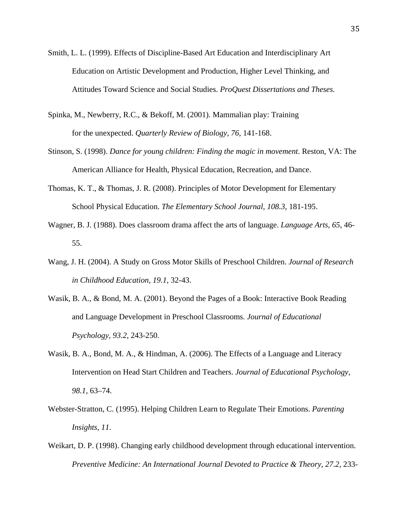- Smith, L. L. (1999). Effects of Discipline-Based Art Education and Interdisciplinary Art Education on Artistic Development and Production, Higher Level Thinking, and Attitudes Toward Science and Social Studies. *ProQuest Dissertations and Theses.*
- Spinka, M., Newberry, R.C., & Bekoff, M. (2001). Mammalian play: Training for the unexpected. *Quarterly Review of Biology, 76,* 141-168.
- Stinson, S. (1998). *Dance for young children: Finding the magic in movement*. Reston, VA: The American Alliance for Health, Physical Education, Recreation, and Dance.
- Thomas, K. T., & Thomas, J. R. (2008). Principles of Motor Development for Elementary School Physical Education. *The Elementary School Journal, 108.3*, 181-195.
- Wagner, B. J. (1988). Does classroom drama affect the arts of language. *Language Arts, 65*, 46- 55.
- Wang, J. H. (2004). A Study on Gross Motor Skills of Preschool Children. *Journal of Research in Childhood Education, 19.1*, 32-43.
- Wasik, B. A., & Bond, M. A. (2001). Beyond the Pages of a Book: Interactive Book Reading and Language Development in Preschool Classrooms. *Journal of Educational Psychology, 93.2,* 243-250.
- Wasik, B. A., Bond, M. A., & Hindman, A. (2006). The Effects of a Language and Literacy Intervention on Head Start Children and Teachers. *Journal of Educational Psychology, 98.1,* 63–74.
- Webster-Stratton, C. (1995). Helping Children Learn to Regulate Their Emotions. *Parenting Insights, 11*.
- Weikart, D. P. (1998). Changing early childhood development through educational intervention. *Preventive Medicine: An International Journal Devoted to Practice & Theory, 27.2, 233-*